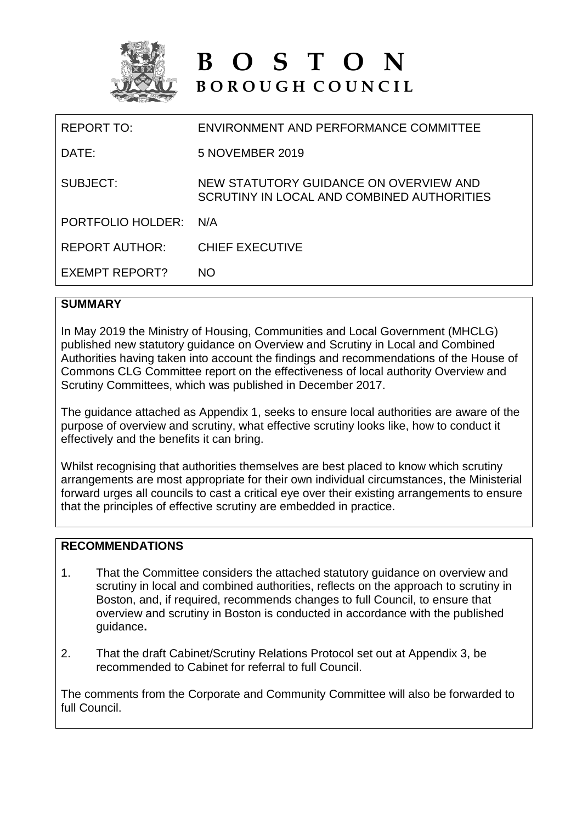

# **B O S T O N B O R O U G H C O U N C I L**

| REPORT TO:            | ENVIRONMENT AND PERFORMANCE COMMITTEE                                                |
|-----------------------|--------------------------------------------------------------------------------------|
| DATE:                 | 5 NOVEMBER 2019                                                                      |
| SUBJECT:              | NEW STATUTORY GUIDANCE ON OVERVIEW AND<br>SCRUTINY IN LOCAL AND COMBINED AUTHORITIES |
| PORTFOLIO HOLDER:     | N/A                                                                                  |
| REPORT AUTHOR:        | <b>CHIEF EXECUTIVE</b>                                                               |
| <b>EXEMPT REPORT?</b> | NO.                                                                                  |
|                       |                                                                                      |

#### **SUMMARY**

In May 2019 the Ministry of Housing, Communities and Local Government (MHCLG) published new statutory guidance on Overview and Scrutiny in Local and Combined Authorities having taken into account the findings and recommendations of the House of Commons CLG Committee report on the effectiveness of local authority Overview and Scrutiny Committees, which was published in December 2017.

The guidance attached as Appendix 1, seeks to ensure local authorities are aware of the purpose of overview and scrutiny, what effective scrutiny looks like, how to conduct it effectively and the benefits it can bring.

Whilst recognising that authorities themselves are best placed to know which scrutiny arrangements are most appropriate for their own individual circumstances, the Ministerial forward urges all councils to cast a critical eye over their existing arrangements to ensure that the principles of effective scrutiny are embedded in practice.

## **RECOMMENDATIONS**

- 1. That the Committee considers the attached statutory guidance on overview and scrutiny in local and combined authorities, reflects on the approach to scrutiny in Boston, and, if required, recommends changes to full Council, to ensure that overview and scrutiny in Boston is conducted in accordance with the published guidance**.**
- 2. That the draft Cabinet/Scrutiny Relations Protocol set out at Appendix 3, be recommended to Cabinet for referral to full Council.

The comments from the Corporate and Community Committee will also be forwarded to full Council.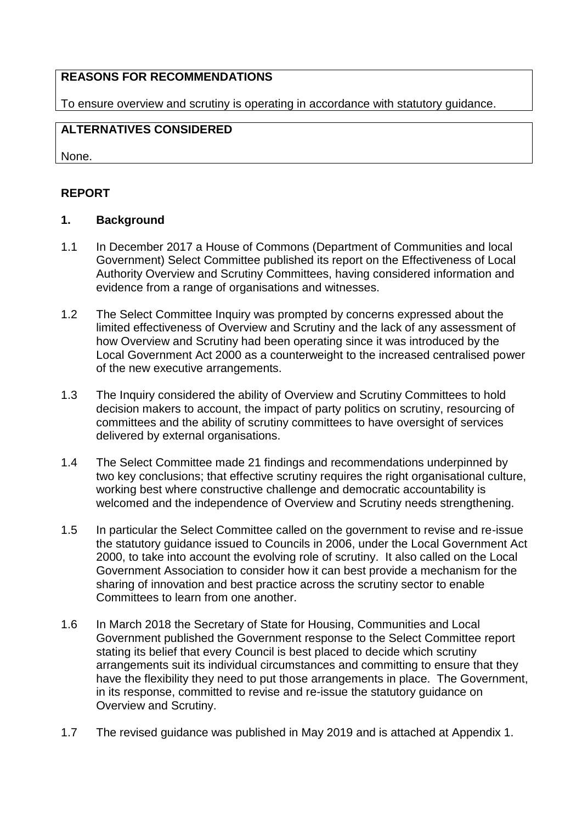#### **REASONS FOR RECOMMENDATIONS**

To ensure overview and scrutiny is operating in accordance with statutory guidance.

#### **ALTERNATIVES CONSIDERED**

None.

## **REPORT**

#### **1. Background**

- 1.1 In December 2017 a House of Commons (Department of Communities and local Government) Select Committee published its report on the Effectiveness of Local Authority Overview and Scrutiny Committees, having considered information and evidence from a range of organisations and witnesses.
- 1.2 The Select Committee Inquiry was prompted by concerns expressed about the limited effectiveness of Overview and Scrutiny and the lack of any assessment of how Overview and Scrutiny had been operating since it was introduced by the Local Government Act 2000 as a counterweight to the increased centralised power of the new executive arrangements.
- 1.3 The Inquiry considered the ability of Overview and Scrutiny Committees to hold decision makers to account, the impact of party politics on scrutiny, resourcing of committees and the ability of scrutiny committees to have oversight of services delivered by external organisations.
- 1.4 The Select Committee made 21 findings and recommendations underpinned by two key conclusions; that effective scrutiny requires the right organisational culture, working best where constructive challenge and democratic accountability is welcomed and the independence of Overview and Scrutiny needs strengthening.
- 1.5 In particular the Select Committee called on the government to revise and re-issue the statutory guidance issued to Councils in 2006, under the Local Government Act 2000, to take into account the evolving role of scrutiny. It also called on the Local Government Association to consider how it can best provide a mechanism for the sharing of innovation and best practice across the scrutiny sector to enable Committees to learn from one another.
- 1.6 In March 2018 the Secretary of State for Housing, Communities and Local Government published the Government response to the Select Committee report stating its belief that every Council is best placed to decide which scrutiny arrangements suit its individual circumstances and committing to ensure that they have the flexibility they need to put those arrangements in place. The Government, in its response, committed to revise and re-issue the statutory guidance on Overview and Scrutiny.
- 1.7 The revised guidance was published in May 2019 and is attached at Appendix 1.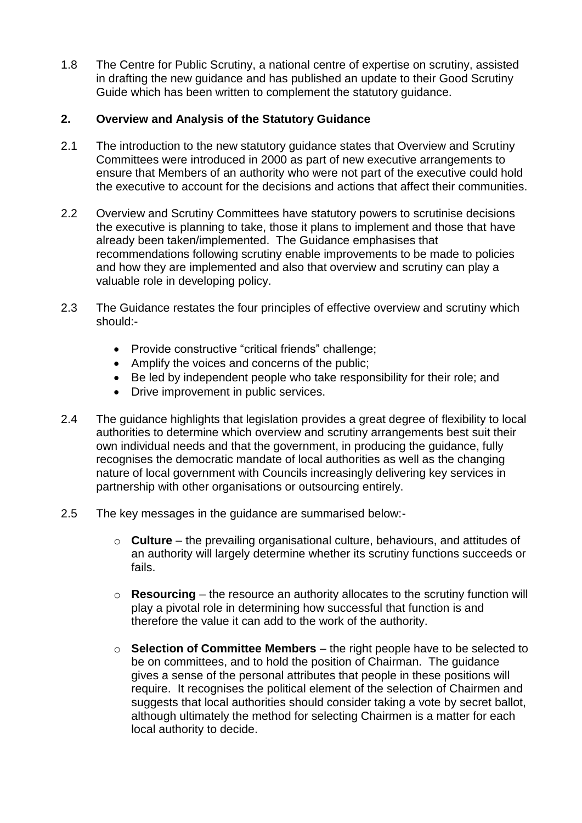1.8 The Centre for Public Scrutiny, a national centre of expertise on scrutiny, assisted in drafting the new guidance and has published an update to their Good Scrutiny Guide which has been written to complement the statutory guidance.

#### **2. Overview and Analysis of the Statutory Guidance**

- 2.1 The introduction to the new statutory guidance states that Overview and Scrutiny Committees were introduced in 2000 as part of new executive arrangements to ensure that Members of an authority who were not part of the executive could hold the executive to account for the decisions and actions that affect their communities.
- 2.2 Overview and Scrutiny Committees have statutory powers to scrutinise decisions the executive is planning to take, those it plans to implement and those that have already been taken/implemented. The Guidance emphasises that recommendations following scrutiny enable improvements to be made to policies and how they are implemented and also that overview and scrutiny can play a valuable role in developing policy.
- 2.3 The Guidance restates the four principles of effective overview and scrutiny which should:-
	- Provide constructive "critical friends" challenge;
	- Amplify the voices and concerns of the public;
	- Be led by independent people who take responsibility for their role; and
	- Drive improvement in public services.
- 2.4 The guidance highlights that legislation provides a great degree of flexibility to local authorities to determine which overview and scrutiny arrangements best suit their own individual needs and that the government, in producing the guidance, fully recognises the democratic mandate of local authorities as well as the changing nature of local government with Councils increasingly delivering key services in partnership with other organisations or outsourcing entirely.
- 2.5 The key messages in the guidance are summarised below:
	- o **Culture**  the prevailing organisational culture, behaviours, and attitudes of an authority will largely determine whether its scrutiny functions succeeds or fails.
	- o **Resourcing** the resource an authority allocates to the scrutiny function will play a pivotal role in determining how successful that function is and therefore the value it can add to the work of the authority.
	- o **Selection of Committee Members** the right people have to be selected to be on committees, and to hold the position of Chairman. The guidance gives a sense of the personal attributes that people in these positions will require. It recognises the political element of the selection of Chairmen and suggests that local authorities should consider taking a vote by secret ballot, although ultimately the method for selecting Chairmen is a matter for each local authority to decide.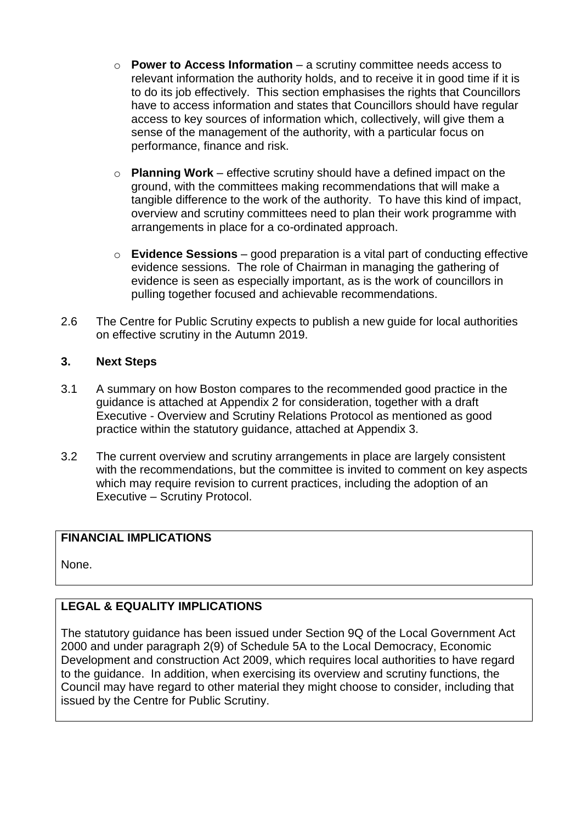- o **Power to Access Information** a scrutiny committee needs access to relevant information the authority holds, and to receive it in good time if it is to do its job effectively. This section emphasises the rights that Councillors have to access information and states that Councillors should have regular access to key sources of information which, collectively, will give them a sense of the management of the authority, with a particular focus on performance, finance and risk.
- o **Planning Work** effective scrutiny should have a defined impact on the ground, with the committees making recommendations that will make a tangible difference to the work of the authority. To have this kind of impact, overview and scrutiny committees need to plan their work programme with arrangements in place for a co-ordinated approach.
- o **Evidence Sessions** good preparation is a vital part of conducting effective evidence sessions. The role of Chairman in managing the gathering of evidence is seen as especially important, as is the work of councillors in pulling together focused and achievable recommendations.
- 2.6 The Centre for Public Scrutiny expects to publish a new guide for local authorities on effective scrutiny in the Autumn 2019.

#### **3. Next Steps**

- 3.1 A summary on how Boston compares to the recommended good practice in the guidance is attached at Appendix 2 for consideration, together with a draft Executive - Overview and Scrutiny Relations Protocol as mentioned as good practice within the statutory guidance, attached at Appendix 3.
- 3.2 The current overview and scrutiny arrangements in place are largely consistent with the recommendations, but the committee is invited to comment on key aspects which may require revision to current practices, including the adoption of an Executive – Scrutiny Protocol.

## **FINANCIAL IMPLICATIONS**

None.

# **LEGAL & EQUALITY IMPLICATIONS**

The statutory guidance has been issued under Section 9Q of the Local Government Act 2000 and under paragraph 2(9) of Schedule 5A to the Local Democracy, Economic Development and construction Act 2009, which requires local authorities to have regard to the guidance. In addition, when exercising its overview and scrutiny functions, the Council may have regard to other material they might choose to consider, including that issued by the Centre for Public Scrutiny.